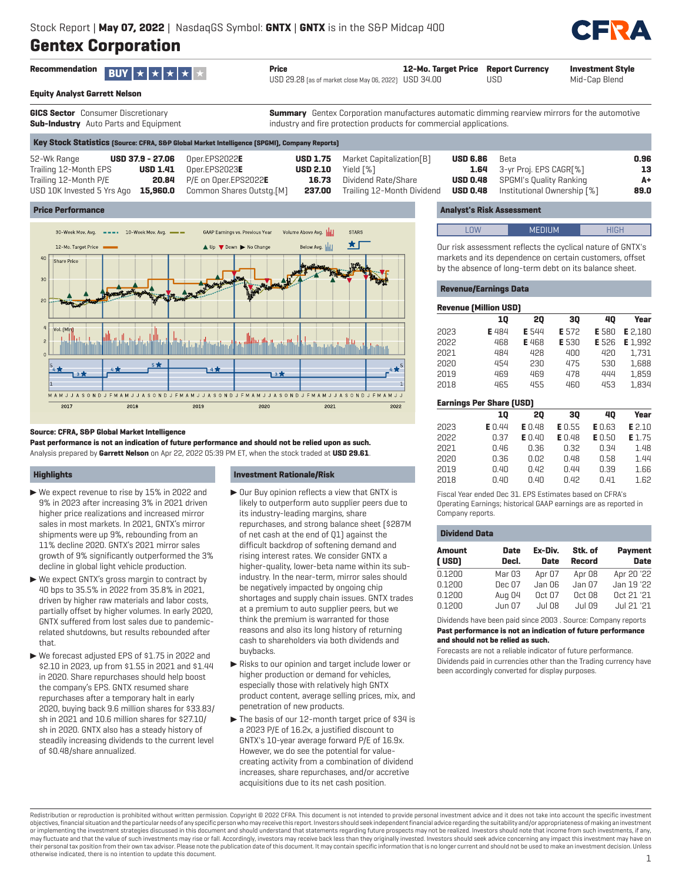# **Gentex Corporation**



| Recommendation <b>BUY</b> $\star$ $\star$ $\star$ $\star$ | Price                                                 | 12-Mo. Target Price Report Currency |     | Investment Style |
|-----------------------------------------------------------|-------------------------------------------------------|-------------------------------------|-----|------------------|
|                                                           | USD 29.28 (as of market close May 06, 2022) USD 34.00 |                                     | USD | Mid-Cap Blend    |

**Equity Analyst Garrett Nelson**

**GICS Sector** Consumer Discretionary **Sub-Industry** Auto Parts and Equipment

**Summary** Gentex Corporation manufactures automatic dimming rearview mirrors for the automotive industry and fire protection products for commercial applications.

**Key Stock Statistics (Source: CFRA, S&P Global Market Intelligence (SPGMI), Company Reports)**

| 52-Wk Range           | <b>USD 37.9 - 27.06</b> Oper.EPS2022E |                                                                     |       | <b>USD 1.75</b> Market Capitalization[B] | <b>USD 6.86</b> Beta |                                             | 0.96 |
|-----------------------|---------------------------------------|---------------------------------------------------------------------|-------|------------------------------------------|----------------------|---------------------------------------------|------|
| Trailing 12-Month EPS |                                       | $\text{USD 1.41}$ Oper.EPS2023E                                     |       | <b>USD 2.10</b> Yield $\lceil % \rceil$  |                      | <b>1.64</b> 3-yr Proj. EPS CAGR[%]          | 13   |
| Trailing 12-Month P/E |                                       | <b>20.84</b> P/E on Oper.EPS2022E                                   | 16.73 | Dividend Rate/Share                      |                      | <b>USD 0.48</b> SPGMI's Quality Ranking     | A+   |
|                       |                                       | USD 10K Invested 5 Yrs Ago <b>15,960.0</b> Common Shares Outstg.[M] |       | <b>237.00</b> Trailing 12-Month Dividend |                      | <b>USD 0.48</b> Institutional Ownership [%] | 89.0 |
|                       |                                       |                                                                     |       |                                          |                      |                                             |      |

# **Price Performance**



# **Source: CFRA, S&P Global Market Intelligence**

**Past performance is not an indication of future performance and should not be relied upon as such.** Analysis prepared by **Garrett Nelson** on Apr 22, 2022 05:39 PM ET, when the stock traded at **USD 29.61**.

# **Highlights**

- $\triangleright$  We expect revenue to rise by 15% in 2022 and 9% in 2023 after increasing 3% in 2021 driven higher price realizations and increased mirror sales in most markets. In 2021, GNTX's mirror shipments were up 9%, rebounding from an 11% decline 2020. GNTX's 2021 mirror sales growth of 9% significantly outperformed the 3% decline in global light vehicle production.
- $\blacktriangleright$  We expect GNTX's gross margin to contract by 40 bps to 35.5% in 2022 from 35.8% in 2021, driven by higher raw materials and labor costs, partially offset by higher volumes. In early 2020, GNTX suffered from lost sales due to pandemicrelated shutdowns, but results rebounded after that.
- ▶ We forecast adjusted EPS of \$1.75 in 2022 and \$2.10 in 2023, up from \$1.55 in 2021 and \$1.44 in 2020. Share repurchases should help boost the company's EPS. GNTX resumed share repurchases after a temporary halt in early 2020, buying back 9.6 million shares for \$33.83/ sh in 2021 and 10.6 million shares for \$27.10/ sh in 2020. GNTX also has a steady history of steadily increasing dividends to the current level of \$0.48/share annualized.

# **Investment Rationale/Risk**

- $\triangleright$  Our Buy opinion reflects a view that GNTX is likely to outperform auto supplier peers due to its industry-leading margins, share repurchases, and strong balance sheet (\$287M of net cash at the end of Q1) against the difficult backdrop of softening demand and rising interest rates. We consider GNTX a higher-quality, lower-beta name within its subindustry. In the near-term, mirror sales should be negatively impacted by ongoing chip shortages and supply chain issues. GNTX trades at a premium to auto supplier peers, but we think the premium is warranted for those reasons and also its long history of returning cash to shareholders via both dividends and buybacks.
- $\blacktriangleright$  Risks to our opinion and target include lower or higher production or demand for vehicles, especially those with relatively high GNTX product content, average selling prices, mix, and penetration of new products.
- $\blacktriangleright$  The basis of our 12-month target price of \$34 is a 2023 P/E of 16.2x, a justified discount to GNTX's 10-year average forward P/E of 16.9x. However, we do see the potential for valuecreating activity from a combination of dividend increases, share repurchases, and/or accretive acquisitions due to its net cash position.

# **Analyst's Risk Assessment**

| 7.11111<br>ومصطلحه |  |
|--------------------|--|
|                    |  |

Our risk assessment reflects the cyclical nature of GNTX's markets and its dependence on certain customers, offset by the absence of long-term debt on its balance sheet.

# **Revenue/Earnings Data**

| <b>Revenue (Million USD)</b> |       |              |       |       |         |  |  |  |
|------------------------------|-------|--------------|-------|-------|---------|--|--|--|
|                              | 10    | 20           | 30    | 40    | Year    |  |  |  |
| 2023                         | E 484 | <b>E</b> 544 | E 572 | E 580 | E 2.180 |  |  |  |
| 2022                         | 468   | <b>E</b> 468 | E 530 | E 526 | E 1.992 |  |  |  |
| 2021                         | 484   | 428          | 400   | 420   | 1.731   |  |  |  |
| 2020                         | 454   | 230          | 475   | 530   | 1.688   |  |  |  |
| 2019                         | 469   | 469          | 478   | 444   | 1.859   |  |  |  |
| 2018                         | 465   | 455          | 460   | 453   | 1.834   |  |  |  |
|                              |       |              |       |       |         |  |  |  |

| <b>Earnings Per Share (USD)</b> |               |               |               |               |        |  |  |  |
|---------------------------------|---------------|---------------|---------------|---------------|--------|--|--|--|
|                                 | 10            | 20            | 30            | 40            | Year   |  |  |  |
| 2023                            | <b>E</b> 0.44 | <b>E</b> 0.48 | E0.55         | <b>E</b> 0.63 | E 2.10 |  |  |  |
| 2022                            | 0.37          | <b>E</b> 0.40 | <b>E</b> 0.48 | <b>E</b> 0.50 | E 1.75 |  |  |  |
| 2021                            | 0.46          | 0.36          | 0.32          | 0.34          | 1.48   |  |  |  |
| 2020                            | 0.36          | 0.02          | n.48          | 0.58          | 1.44   |  |  |  |
| 2019                            | 0.40          | 0.42          | 0.44          | 0.39          | 1.66   |  |  |  |
| 2018                            | 0.40          | 0.40          | 0.42          | 0.41          | 1.62   |  |  |  |
|                                 |               |               |               |               |        |  |  |  |

Fiscal Year ended Dec 31. EPS Estimates based on CFRA's Operating Earnings; historical GAAP earnings are as reported in Company reports.

# **Dividend Data**

| Amount<br>(USD) | Date<br>Decl. | Ex-Div.<br><b>Date</b> | Stk. of<br><b>Record</b> | <b>Payment</b><br><b>Date</b> |
|-----------------|---------------|------------------------|--------------------------|-------------------------------|
| 0.1200          | Mar 03        | Apr 07                 | Apr 08                   | Apr 20 '22                    |
| 0.1200          | Dec 07        | Jan 06                 | Jan 07                   | Jan 19 '22                    |
| 0.1200          | Aug 04        | 0ct <sub>07</sub>      | Oct 08                   | Oct 21 '21                    |
| 0.1200          | Jun 07        | <b>Jul 08</b>          | <b>Jul 09</b>            | Jul 21 '21                    |
|                 |               |                        |                          |                               |

Dividends have been paid since 2003 . Source: Company reports **Past performance is not an indication of future performance and should not be relied as such.**

Forecasts are not a reliable indicator of future performance. Dividends paid in currencies other than the Trading currency have been accordingly converted for display purposes.

Redistribution or reproduction is prohibited without written permission. Copyright © 2022 CFRA. This document is not intended to provide personal investment advice and it does not take into account the specific investment objectives, financial situation and the particular needs of any specific person who may receive this report. Investors should seek independent financial advice regarding the suitability and/or appropriateness of making an or implementing the investment strategies discussed in this document and should understand that statements regarding future prospects may not be realized. Investors should note that income from such investments, if any, may fluctuate and that the value of such investments may rise or fall. Accordingly, investors may receive back less than they originally invested. Investors should seek advice concerning any impact this investment may have their personal tax position from their own tax advisor. Please note the publication date of this document. It may contain specific information that is no longer current and should not be used to make an investment decision otherwise indicated, there is no intention to update this document. 1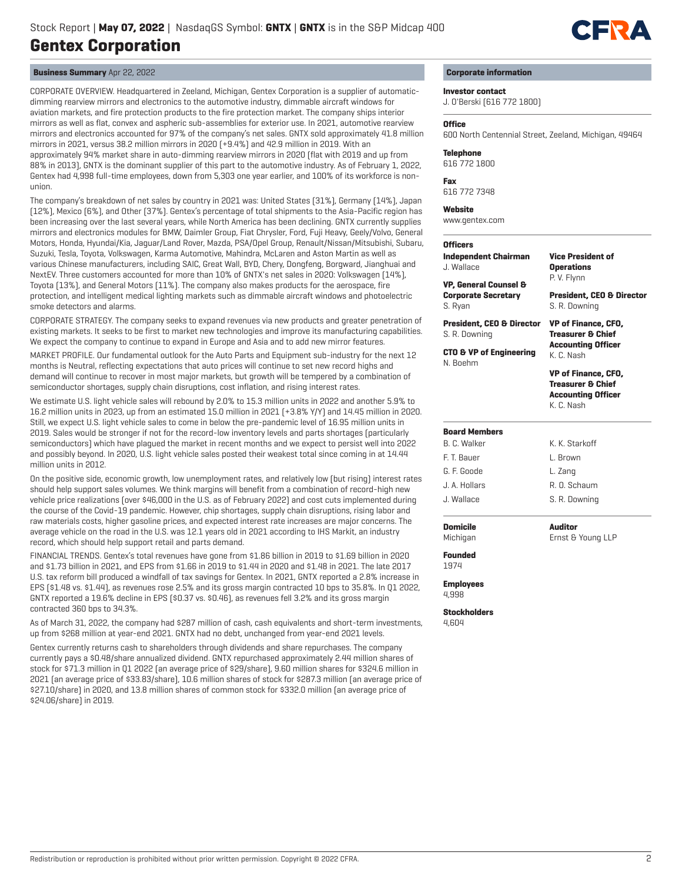

# **Business Summary** Apr 22, 2022

CORPORATE OVERVIEW. Headquartered in Zeeland, Michigan, Gentex Corporation is a supplier of automaticdimming rearview mirrors and electronics to the automotive industry, dimmable aircraft windows for aviation markets, and fire protection products to the fire protection market. The company ships interior mirrors as well as flat, convex and aspheric sub-assemblies for exterior use. In 2021, automotive rearview mirrors and electronics accounted for 97% of the company's net sales. GNTX sold approximately 41.8 million mirrors in 2021, versus 38.2 million mirrors in 2020 (+9.4%) and 42.9 million in 2019. With an approximately 94% market share in auto-dimming rearview mirrors in 2020 (flat with 2019 and up from 88% in 2013), GNTX is the dominant supplier of this part to the automotive industry. As of February 1, 2022, Gentex had 4,998 full-time employees, down from 5,303 one year earlier, and 100% of its workforce is nonunion.

The company's breakdown of net sales by country in 2021 was: United States (31%), Germany (14%), Japan (12%), Mexico (6%), and Other (37%). Gentex's percentage of total shipments to the Asia-Pacific region has been increasing over the last several years, while North America has been declining. GNTX currently supplies mirrors and electronics modules for BMW, Daimler Group, Fiat Chrysler, Ford, Fuji Heavy, Geely/Volvo, General Motors, Honda, Hyundai/Kia, Jaguar/Land Rover, Mazda, PSA/Opel Group, Renault/Nissan/Mitsubishi, Subaru, Suzuki, Tesla, Toyota, Volkswagen, Karma Automotive, Mahindra, McLaren and Aston Martin as well as various Chinese manufacturers, including SAIC, Great Wall, BYD, Chery, Dongfeng, Borgward, Jianghuai and NextEV. Three customers accounted for more than 10% of GNTX's net sales in 2020: Volkswagen (14%), Toyota (13%), and General Motors (11%). The company also makes products for the aerospace, fire protection, and intelligent medical lighting markets such as dimmable aircraft windows and photoelectric smoke detectors and alarms.

CORPORATE STRATEGY. The company seeks to expand revenues via new products and greater penetration of existing markets. It seeks to be first to market new technologies and improve its manufacturing capabilities. We expect the company to continue to expand in Europe and Asia and to add new mirror features.

MARKET PROFILE. Our fundamental outlook for the Auto Parts and Equipment sub-industry for the next 12 months is Neutral, reflecting expectations that auto prices will continue to set new record highs and demand will continue to recover in most major markets, but growth will be tempered by a combination of semiconductor shortages, supply chain disruptions, cost inflation, and rising interest rates.

We estimate U.S. light vehicle sales will rebound by 2.0% to 15.3 million units in 2022 and another 5.9% to 16.2 million units in 2023, up from an estimated 15.0 million in 2021 (+3.8% Y/Y) and 14.45 million in 2020. Still, we expect U.S. light vehicle sales to come in below the pre-pandemic level of 16.95 million units in 2019. Sales would be stronger if not for the record-low inventory levels and parts shortages (particularly semiconductors) which have plagued the market in recent months and we expect to persist well into 2022 and possibly beyond. In 2020, U.S. light vehicle sales posted their weakest total since coming in at 14.44 million units in 2012.

On the positive side, economic growth, low unemployment rates, and relatively low (but rising) interest rates should help support sales volumes. We think margins will benefit from a combination of record-high new vehicle price realizations (over \$46,000 in the U.S. as of February 2022) and cost cuts implemented during the course of the Covid-19 pandemic. However, chip shortages, supply chain disruptions, rising labor and raw materials costs, higher gasoline prices, and expected interest rate increases are major concerns. The average vehicle on the road in the U.S. was 12.1 years old in 2021 according to IHS Markit, an industry record, which should help support retail and parts demand.

FINANCIAL TRENDS. Gentex's total revenues have gone from \$1.86 billion in 2019 to \$1.69 billion in 2020 and \$1.73 billion in 2021, and EPS from \$1.66 in 2019 to \$1.44 in 2020 and \$1.48 in 2021. The late 2017 U.S. tax reform bill produced a windfall of tax savings for Gentex. In 2021, GNTX reported a 2.8% increase in EPS (\$1.48 vs. \$1.44), as revenues rose 2.5% and its gross margin contracted 10 bps to 35.8%. In Q1 2022, GNTX reported a 19.6% decline in EPS (\$0.37 vs. \$0.46), as revenues fell 3.2% and its gross margin contracted 360 bps to 34.3%.

As of March 31, 2022, the company had \$287 million of cash, cash equivalents and short-term investments, up from \$268 million at year-end 2021. GNTX had no debt, unchanged from year-end 2021 levels.

Gentex currently returns cash to shareholders through dividends and share repurchases. The company currently pays a \$0.48/share annualized dividend. GNTX repurchased approximately 2.44 million shares of stock for \$71.3 million in Q1 2022 (an average price of \$29/share), 9.60 million shares for \$324.6 million in 2021 (an average price of \$33.83/share), 10.6 million shares of stock for \$287.3 million (an average price of \$27.10/share) in 2020, and 13.8 million shares of common stock for \$332.0 million (an average price of \$24.06/share) in 2019.

# **Corporate information**

# **Investor contact**

J. O'Berski (616 772 1800)

# **Office**

600 North Centennial Street, Zeeland, Michigan, 49464

#### **Telephone**

616 772 1800

**Fax** 616 772 7348

#### **Website**

www.gentex.com

# **Officers**

| <b>Independent Chairman</b><br>J. Wallace                                 | Vice President of<br><b>Operations</b><br>P.V. Flynn                                                  |  |  |  |  |
|---------------------------------------------------------------------------|-------------------------------------------------------------------------------------------------------|--|--|--|--|
| <b>VP, General Counsel &amp;</b><br><b>Corporate Secretary</b><br>S. Ryan | <b>President, CEO &amp; Director</b><br>S. R. Downing                                                 |  |  |  |  |
| <b>President, CEO &amp; Director</b><br>S. R. Downing                     | <b>VP of Finance, CFO,</b><br><b>Treasurer &amp; Chief</b>                                            |  |  |  |  |
| <b>CTO &amp; VP of Engineering</b><br>N. Roehm                            | <b>Accounting Officer</b><br>K. C. Nash                                                               |  |  |  |  |
|                                                                           | <b>VP of Finance, CFO,</b><br><b>Treasurer &amp; Chief</b><br><b>Accounting Officer</b><br>K. C. Nash |  |  |  |  |
| <b>Board Members</b>                                                      |                                                                                                       |  |  |  |  |
| R. C. Walker                                                              | K. K. Starknff                                                                                        |  |  |  |  |
| F. T. Bauer                                                               | L. Brown                                                                                              |  |  |  |  |
| G. F. Goode                                                               | L. Zang                                                                                               |  |  |  |  |
| .I. A. Hollars                                                            | R. O. Schaum                                                                                          |  |  |  |  |
| .I. Wallace                                                               | S. R. Downing                                                                                         |  |  |  |  |
| Domicile                                                                  | Auditor                                                                                               |  |  |  |  |

Ernst & Young LLP

**Domicile** Michigan

**Founded**

1974

# **Employees**

4,998

**Stockholders** 4,604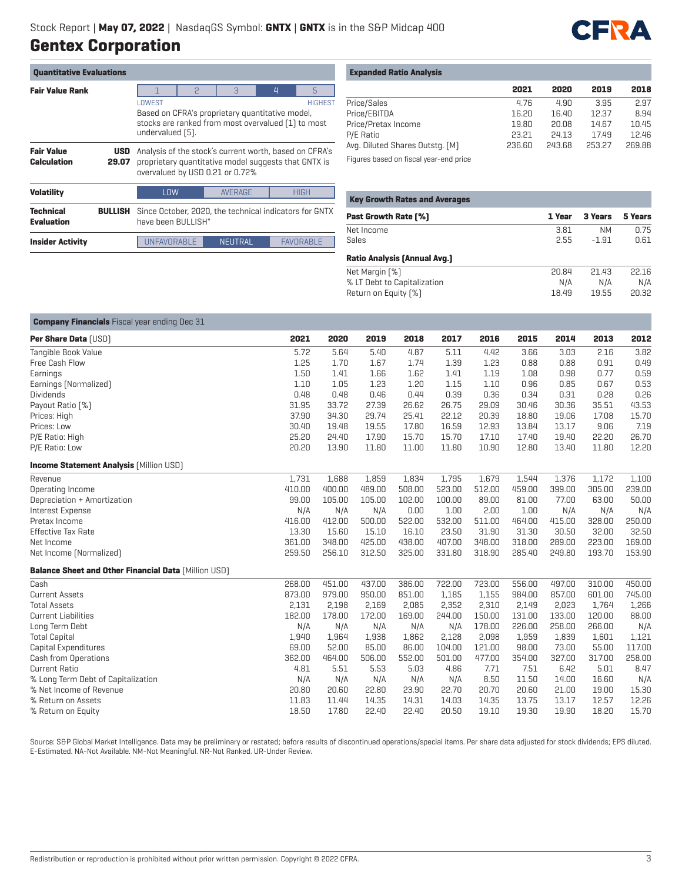

| <b>Quantitative Evaluations</b>         |                     |                                                                                                                                                       |                                                                                                                                                   |   |   |   |  |  |
|-----------------------------------------|---------------------|-------------------------------------------------------------------------------------------------------------------------------------------------------|---------------------------------------------------------------------------------------------------------------------------------------------------|---|---|---|--|--|
| <b>Fair Value Rank</b>                  |                     |                                                                                                                                                       | $\mathcal{P}$                                                                                                                                     | 3 | 4 | 5 |  |  |
|                                         |                     | LOWEST<br><b>HIGHEST</b><br>Based on CFRA's proprietary quantitative model,<br>stocks are ranked from most overvalued [1] to most<br>undervalued [5]. |                                                                                                                                                   |   |   |   |  |  |
| <b>Fair Value</b><br><b>Calculation</b> | <b>USD</b><br>29.07 |                                                                                                                                                       | Analysis of the stock's current worth, based on CFRA's<br>proprietary quantitative model suggests that GNTX is<br>overvalued by USD 0.21 or 0.72% |   |   |   |  |  |
| <b>Volatility</b>                       |                     | <b>AVERAGE</b><br><b>HIGH</b><br><b>LOW</b>                                                                                                           |                                                                                                                                                   |   |   |   |  |  |
| <b>Technical</b><br><b>Evaluation</b>   | <b>BULLISH</b>      |                                                                                                                                                       | Since October, 2020, the technical indicators for GNTX<br>have heen BIJI LISH"                                                                    |   |   |   |  |  |
| <b>Insider Activity</b>                 |                     | <b>UNFAVORABLE</b><br><b>FAVORABLE</b><br>NEUTRAL                                                                                                     |                                                                                                                                                   |   |   |   |  |  |

| <b>Expanded Ratio Analysis</b> |  |  |  |
|--------------------------------|--|--|--|
|--------------------------------|--|--|--|

|                                 | 2021   | 2020   | 2019   | 2018   |
|---------------------------------|--------|--------|--------|--------|
| Price/Sales                     | 4.76   | 4.90   | 3.95   | 2.97   |
| Price/EBITDA                    | 16.20  | 16.40  | 12.37  | 8.94   |
| Price/Pretax Income             | 19.80  | 20.08  | 14.67  | 10.45  |
| P/E Ratio                       | 23.21  | 24.13  | 17.49  | 12.46  |
| Avg. Diluted Shares Outstg. [M] | 236.60 | 243.68 | 253.27 | 269.88 |
|                                 |        |        |        |        |

Figures based on fiscal year-end price

| <b>Key Growth Rates and Averages</b> |        |           |         |
|--------------------------------------|--------|-----------|---------|
| <b>Past Growth Rate [%]</b>          | 1 Year | 3 Years   | 5 Years |
| Net Income                           | 3.81   | <b>NM</b> | 0.75    |
| Sales                                | 2.55   | $-1.91$   | 0.61    |
| <b>Ratio Analysis (Annual Avg.)</b>  |        |           |         |
| Net Margin [%]                       | 20.84  | 21.43     | 22.16   |
| % LT Debt to Capitalization          | N/A    | N/A       | N/A     |
| Return on Equity [%]                 | 18.49  | 19.55     | 20.32   |

| <b>Company Financials</b> Fiscal year ending Dec 31         |        |        |        |        |        |        |        |        |        |        |
|-------------------------------------------------------------|--------|--------|--------|--------|--------|--------|--------|--------|--------|--------|
| Per Share Data [USD]                                        | 2021   | 2020   | 2019   | 2018   | 2017   | 2016   | 2015   | 2014   | 2013   | 2012   |
| Tangible Book Value                                         | 5.72   | 5.64   | 5.40   | 4.87   | 5.11   | 4.42   | 3.66   | 3.03   | 2.16   | 3.82   |
| Free Cash Flow                                              | 1.25   | 1.70   | 1.67   | 1.74   | 1.39   | 1.23   | 0.88   | 0.88   | 0.91   | 0.49   |
| Earnings                                                    | 1.50   | 1.41   | 1.66   | 1.62   | 1.41   | 1.19   | 1.08   | 0.98   | 0.77   | 0.59   |
| Earnings [Normalized]                                       | 1.10   | 1.05   | 1.23   | 1.20   | 1.15   | 1.10   | 0.96   | 0.85   | 0.67   | 0.53   |
| <b>Dividends</b>                                            | 0.48   | 0.48   | 0.46   | 0.44   | 0.39   | 0.36   | 0.34   | 0.31   | 0.28   | 0.26   |
| Payout Ratio [%]                                            | 31.95  | 33.72  | 27.39  | 26.62  | 26.75  | 29.09  | 30.46  | 30.36  | 35.51  | 43.53  |
| Prices: High                                                | 37.90  | 34.30  | 29.74  | 25.41  | 22.12  | 20.39  | 18.80  | 19.06  | 17.08  | 15.70  |
| Prices: Low                                                 | 30.40  | 19.48  | 19.55  | 17.80  | 16.59  | 12.93  | 13.84  | 13.17  | 9.06   | 7.19   |
| P/E Ratio: High                                             | 25.20  | 24.40  | 17.90  | 15.70  | 15.70  | 17.10  | 17.40  | 19.40  | 22.20  | 26.70  |
| P/E Ratio: Low                                              | 20.20  | 13.90  | 11.80  | 11.00  | 11.80  | 10.90  | 12.80  | 13.40  | 11.80  | 12.20  |
| <b>Income Statement Analysis [Million USD]</b>              |        |        |        |        |        |        |        |        |        |        |
| Revenue                                                     | 1.731  | 1,688  | 1,859  | 1,834  | 1,795  | 1,679  | 1,544  | 1,376  | 1,172  | 1,100  |
| Operating Income                                            | 410.00 | 400.00 | 489.00 | 508.00 | 523.00 | 512.00 | 459.00 | 399.00 | 305.00 | 239.00 |
| Depreciation + Amortization                                 | 99.00  | 105.00 | 105.00 | 102.00 | 100.00 | 89.00  | 81.00  | 77.00  | 63.00  | 50.00  |
| Interest Expense                                            | N/A    | N/A    | N/A    | 0.00   | 1.00   | 2.00   | 1.00   | N/A    | N/A    | N/A    |
| Pretax Income                                               | 416.00 | 412.00 | 500.00 | 522.00 | 532.00 | 511.00 | 464.00 | 415.00 | 328.00 | 250.00 |
| <b>Effective Tax Rate</b>                                   | 13.30  | 15.60  | 15.10  | 16.10  | 23.50  | 31.90  | 31.30  | 30.50  | 32.00  | 32.50  |
| Net Income                                                  | 361.00 | 348.00 | 425.00 | 438.00 | 407.00 | 348.00 | 318.00 | 289.00 | 223.00 | 169.00 |
| Net Income [Normalized]                                     | 259.50 | 256.10 | 312.50 | 325.00 | 331.80 | 318.90 | 285.40 | 249.80 | 193.70 | 153.90 |
| <b>Balance Sheet and Other Financial Data [Million USD]</b> |        |        |        |        |        |        |        |        |        |        |
| Cash                                                        | 268.00 | 451.00 | 437.00 | 386.00 | 722.00 | 723.00 | 556.00 | 497.00 | 310.00 | 450.00 |
| <b>Current Assets</b>                                       | 873.00 | 979.00 | 950.00 | 851.00 | 1,185  | 1,155  | 984.00 | 857.00 | 601.00 | 745.00 |
| <b>Total Assets</b>                                         | 2,131  | 2,198  | 2,169  | 2,085  | 2,352  | 2,310  | 2,149  | 2,023  | 1,764  | 1,266  |
| <b>Current Liabilities</b>                                  | 182.00 | 178.00 | 172.00 | 169.00 | 244.00 | 150.00 | 131.00 | 133.00 | 120.00 | 88.00  |
| Long Term Debt                                              | N/A    | N/A    | N/A    | N/A    | N/A    | 178.00 | 226.00 | 258.00 | 266.00 | N/A    |
| <b>Total Capital</b>                                        | 1,940  | 1,964  | 1,938  | 1,862  | 2,128  | 2,098  | 1,959  | 1,839  | 1,601  | 1,121  |
| Capital Expenditures                                        | 69.00  | 52.00  | 85.00  | 86.00  | 104.00 | 121.00 | 98.00  | 73.00  | 55.00  | 117.00 |
| Cash from Operations                                        | 362.00 | 464.00 | 506.00 | 552.00 | 501.00 | 477.00 | 354.00 | 327.00 | 317.00 | 258.00 |
| <b>Current Ratio</b>                                        | 4.81   | 5.51   | 5.53   | 5.03   | 4.86   | 7.71   | 7.51   | 6.42   | 5.01   | 8.47   |
| % Long Term Debt of Capitalization                          | N/A    | N/A    | N/A    | N/A    | N/A    | 8.50   | 11.50  | 14.00  | 16.60  | N/A    |
| % Net Income of Revenue                                     | 20.80  | 20.60  | 22.80  | 23.90  | 22.70  | 20.70  | 20.60  | 21.00  | 19.00  | 15.30  |
| % Return on Assets                                          | 11.83  | 11.44  | 14.35  | 14.31  | 14.03  | 14.35  | 13.75  | 13.17  | 12.57  | 12.26  |
| % Return on Equity                                          | 18.50  | 17.80  | 22.40  | 22.40  | 20.50  | 19.10  | 19.30  | 19.90  | 18.20  | 15.70  |

Source: S&P Global Market Intelligence. Data may be preliminary or restated; before results of discontinued operations/special items. Per share data adjusted for stock dividends; EPS diluted. E-Estimated. NA-Not Available. NM-Not Meaningful. NR-Not Ranked. UR-Under Review.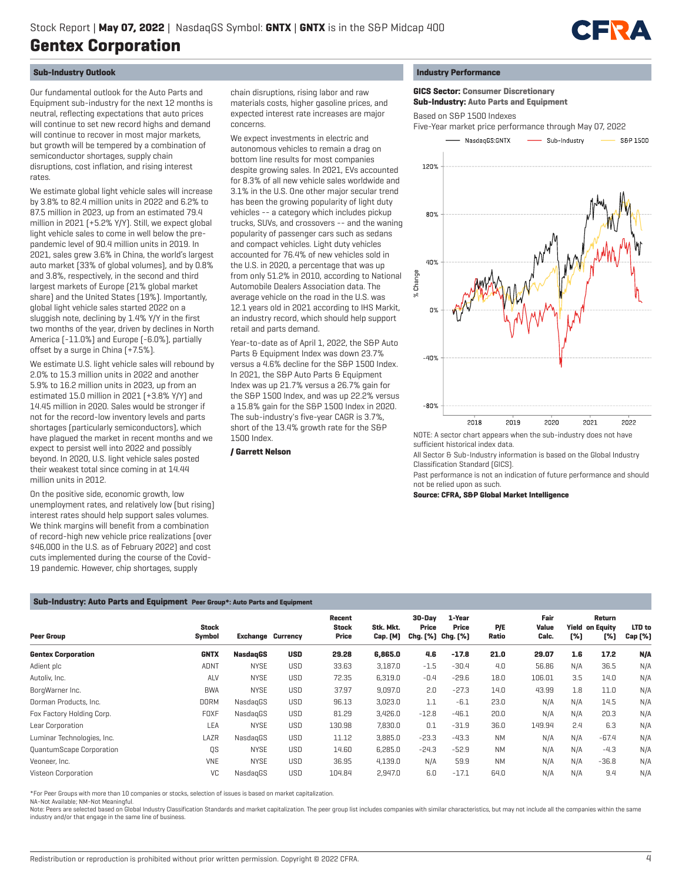

# **Sub-Industry Outlook**

Our fundamental outlook for the Auto Parts and Equipment sub-industry for the next 12 months is neutral, reflecting expectations that auto prices will continue to set new record highs and demand will continue to recover in most major markets, but growth will be tempered by a combination of semiconductor shortages, supply chain disruptions, cost inflation, and rising interest rates.

We estimate global light vehicle sales will increase by 3.8% to 82.4 million units in 2022 and 6.2% to 87.5 million in 2023, up from an estimated 79.4 million in 2021 (+5.2% Y/Y). Still, we expect global light vehicle sales to come in well below the prepandemic level of 90.4 million units in 2019. In 2021, sales grew 3.6% in China, the world's largest auto market (33% of global volumes), and by 0.8% and 3.8%, respectively, in the second and third largest markets of Europe (21% global market share) and the United States (19%). Importantly, global light vehicle sales started 2022 on a sluggish note, declining by 1.4% Y/Y in the first two months of the year, driven by declines in North America (-11.0%) and Europe (-6.0%), partially offset by a surge in China (+7.5%).

We estimate U.S. light vehicle sales will rebound by 2.0% to 15.3 million units in 2022 and another 5.9% to 16.2 million units in 2023, up from an estimated 15.0 million in 2021 (+3.8% Y/Y) and 14.45 million in 2020. Sales would be stronger if not for the record-low inventory levels and parts shortages (particularly semiconductors), which have plagued the market in recent months and we expect to persist well into 2022 and possibly beyond. In 2020, U.S. light vehicle sales posted their weakest total since coming in at 14.44 million units in 2012.

On the positive side, economic growth, low unemployment rates, and relatively low (but rising) interest rates should help support sales volumes. We think margins will benefit from a combination of record-high new vehicle price realizations (over \$46,000 in the U.S. as of February 2022) and cost cuts implemented during the course of the Covid-19 pandemic. However, chip shortages, supply

chain disruptions, rising labor and raw materials costs, higher gasoline prices, and expected interest rate increases are major concerns.

We expect investments in electric and autonomous vehicles to remain a drag on bottom line results for most companies despite growing sales. In 2021, EVs accounted for 8.3% of all new vehicle sales worldwide and 3.1% in the U.S. One other major secular trend has been the growing popularity of light duty vehicles -- a category which includes pickup trucks, SUVs, and crossovers -- and the waning popularity of passenger cars such as sedans and compact vehicles. Light duty vehicles accounted for 76.4% of new vehicles sold in the U.S. in 2020, a percentage that was up from only 51.2% in 2010, according to National Automobile Dealers Association data. The average vehicle on the road in the U.S. was 12.1 years old in 2021 according to IHS Markit, an industry record, which should help support retail and parts demand.

Year-to-date as of April 1, 2022, the S&P Auto Parts & Equipment Index was down 23.7% versus a 4.6% decline for the S&P 1500 Index. In 2021, the S&P Auto Parts & Equipment Index was up 21.7% versus a 26.7% gain for the S&P 1500 Index, and was up 22.2% versus a 15.8% gain for the S&P 1500 Index in 2020. The sub-industry's five-year CAGR is 3.7%, short of the 13.4% growth rate for the S&P 1500 Index.

# **/ Garrett Nelson**

#### **Industry Performance**

 **GICS Sector: Consumer Discretionary Sub-Industry: Auto Parts and Equipment**

Based on S&P 1500 Indexes

Five-Year market price performance through May 07, 2022



sufficient historical index data.

All Sector & Sub-Industry information is based on the Global Industry Classification Standard (GICS).

Past performance is not an indication of future performance and should not be relied upon as such.

**Source: CFRA, S&P Global Market Intelligence**

# **Sub-Industry: Auto Parts and Equipment Peer Group\*: Auto Parts and Equipment**

| <b>Peer Group</b>          | <b>Stock</b><br>Symbol | <b>Exchange Currency</b> |            | Recent<br><b>Stock</b><br>Price | Stk. Mkt.<br><b>Cap.</b> [M] | 30-Dav<br>Price<br>Chg. [%] Chg. [%] | 1-Year<br>Price | P/E<br>Ratio | Fair<br>Value<br>Calc. | [%] | Return<br><b>Yield on Equity</b><br>[%] | LTD to<br>Cap [%] |
|----------------------------|------------------------|--------------------------|------------|---------------------------------|------------------------------|--------------------------------------|-----------------|--------------|------------------------|-----|-----------------------------------------|-------------------|
| <b>Gentex Corporation</b>  | <b>GNTX</b>            | <b>NasdagGS</b>          | <b>USD</b> | 29.28                           | 6,865.0                      | 4.6                                  | $-17.8$         | 21.0         | 29.07                  | 1.6 | 17.2                                    | N/A               |
| Adient plc                 | <b>ADNT</b>            | <b>NYSE</b>              | <b>USD</b> | 33.63                           | 3,187.0                      | $-1.5$                               | $-30.4$         | 4.0          | 56.86                  | N/A | 36.5                                    | N/A               |
| Autoliv, Inc.              | ALV                    | <b>NYSE</b>              | <b>USD</b> | 72.35                           | 6,319.0                      | $-0.4$                               | $-29.6$         | 18.0         | 106.01                 | 3.5 | 14.0                                    | N/A               |
| BorgWarner Inc.            | <b>BWA</b>             | <b>NYSE</b>              | <b>USD</b> | 37.97                           | 9,097.0                      | 2.0                                  | $-27.3$         | 14.0         | 43.99                  | 1.8 | 11.0                                    | N/A               |
| Dorman Products, Inc.      | <b>DORM</b>            | NasdagGS                 | <b>USD</b> | 96.13                           | 3,023.0                      | 1.1                                  | $-6.1$          | 23.0         | N/A                    | N/A | 14.5                                    | N/A               |
| Fox Factory Holding Corp.  | <b>FOXF</b>            | NasdagGS                 | <b>USD</b> | 81.29                           | 3,426.0                      | $-12.8$                              | $-46.1$         | 20.0         | N/A                    | N/A | 20.3                                    | N/A               |
| Lear Corporation           | LEA                    | <b>NYSE</b>              | <b>USD</b> | 130.98                          | 7.830.0                      | 0.1                                  | $-31.9$         | 36.0         | 149.94                 | 2.4 | 6.3                                     | N/A               |
| Luminar Technologies, Inc. | LAZR                   | NasdagGS                 | <b>USD</b> | 11.12                           | 3,885.0                      | $-23.3$                              | $-43.3$         | <b>NM</b>    | N/A                    | N/A | $-67.4$                                 | N/A               |
| QuantumScape Corporation   | QS                     | <b>NYSE</b>              | <b>USD</b> | 14.60                           | 6,285.0                      | $-24.3$                              | $-52.9$         | <b>NM</b>    | N/A                    | N/A | $-4.3$                                  | N/A               |
| Veoneer, Inc.              | <b>VNE</b>             | <b>NYSE</b>              | <b>USD</b> | 36.95                           | 4,139.0                      | N/A                                  | 59.9            | <b>NM</b>    | N/A                    | N/A | $-36.8$                                 | N/A               |
| Visteon Corporation        | VC                     | NasdagGS                 | <b>USD</b> | 104.84                          | 2,947.0                      | 6.0                                  | $-17.1$         | 64.0         | N/A                    | N/A | 9.4                                     | N/A               |

\*For Peer Groups with more than 10 companies or stocks, selection of issues is based on market capitalization.

NA-Not Available; NM-Not Meaningful.

Note: Peers are selected based on Global Industry Classification Standards and market capitalization. The peer group list includes companies with similar characteristics, but may not include all the companies within the sa industry and/or that engage in the same line of business.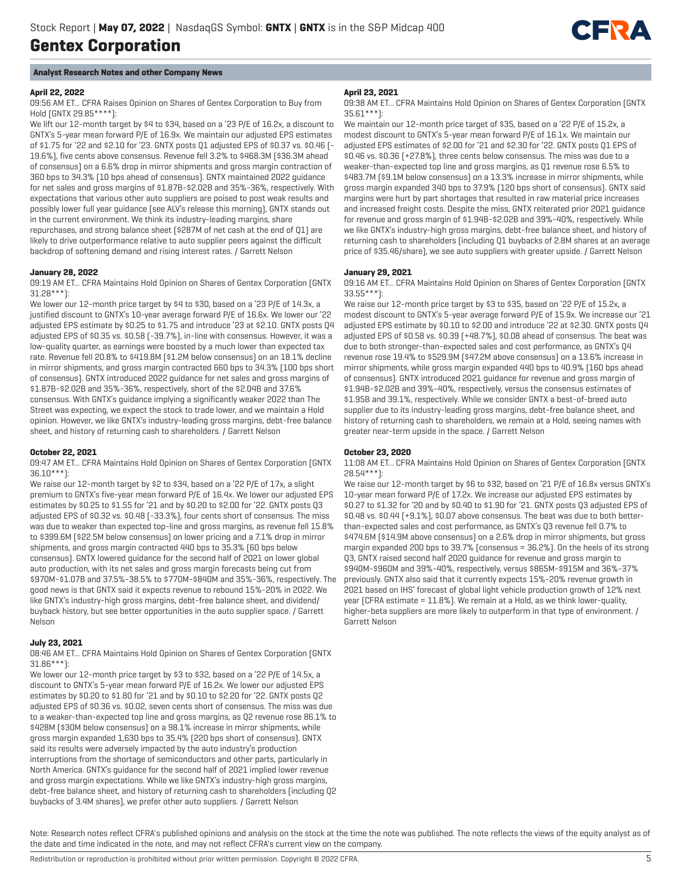

# **Analyst Research Notes and other Company News**

# **April 22, 2022**

09:56 AM ET... CFRA Raises Opinion on Shares of Gentex Corporation to Buy from Hold (GNTX 29.85\*\*\*\*):

We lift our 12-month target by \$4 to \$34, based on a '23 P/E of 16.2x, a discount to GNTX's 5-year mean forward P/E of 16.9x. We maintain our adjusted EPS estimates of \$1.75 for '22 and \$2.10 for '23. GNTX posts Q1 adjusted EPS of \$0.37 vs. \$0.46 (- 19.6%), five cents above consensus. Revenue fell 3.2% to \$468.3M (\$36.3M ahead of consensus) on a 6.6% drop in mirror shipments and gross margin contraction of 360 bps to 34.3% (10 bps ahead of consensus). GNTX maintained 2022 guidance for net sales and gross margins of \$1.87B-\$2.02B and 35%-36%, respectively. With expectations that various other auto suppliers are poised to post weak results and possibly lower full year guidance (see ALV's release this morning), GNTX stands out in the current environment. We think its industry-leading margins, share repurchases, and strong balance sheet (\$287M of net cash at the end of Q1) are likely to drive outperformance relative to auto supplier peers against the difficult backdrop of softening demand and rising interest rates. / Garrett Nelson

# **January 28, 2022**

09:19 AM ET... CFRA Maintains Hold Opinion on Shares of Gentex Corporation (GNTX 31.28\*\*\*):

We lower our 12-month price target by \$4 to \$30, based on a '23 P/E of 14.3x, a justified discount to GNTX's 10-year average forward P/E of 16.6x. We lower our '22 adjusted EPS estimate by \$0.25 to \$1.75 and introduce '23 at \$2.10. GNTX posts Q4 adjusted EPS of \$0.35 vs. \$0.58 (-39.7%), in-line with consensus. However, it was a low-quality quarter, as earnings were boosted by a much lower than expected tax rate. Revenue fell 20.8% to \$419.8M (\$1.2M below consensus) on an 18.1% decline in mirror shipments, and gross margin contracted 660 bps to 34.3% (100 bps short of consensus). GNTX introduced 2022 guidance for net sales and gross margins of \$1.87B-\$2.02B and 35%-36%, respectively, short of the \$2.04B and 37.6% consensus. With GNTX's guidance implying a significantly weaker 2022 than The Street was expecting, we expect the stock to trade lower, and we maintain a Hold opinion. However, we like GNTX's industry-leading gross margins, debt-free balance sheet, and history of returning cash to shareholders. / Garrett Nelson

# **October 22, 2021**

09:47 AM ET... CFRA Maintains Hold Opinion on Shares of Gentex Corporation (GNTX 36.10\*\*\*):

We raise our 12-month target by \$2 to \$34, based on a '22 P/E of 17x, a slight premium to GNTX's five-year mean forward P/E of 16.4x. We lower our adjusted EPS estimates by \$0.25 to \$1.55 for '21 and by \$0.20 to \$2.00 for '22. GNTX posts Q3 adjusted EPS of \$0.32 vs. \$0.48 (-33.3%), four cents short of consensus. The miss was due to weaker than expected top-line and gross margins, as revenue fell 15.8% to \$399.6M (\$22.5M below consensus) on lower pricing and a 7.1% drop in mirror shipments, and gross margin contracted 440 bps to 35.3% (60 bps below consensus). GNTX lowered guidance for the second half of 2021 on lower global auto production, with its net sales and gross margin forecasts being cut from \$970M-\$1.07B and 37.5%-38.5% to \$770M-\$840M and 35%-36%, respectively. The good news is that GNTX said it expects revenue to rebound 15%-20% in 2022. We like GNTX's industry-high gross margins, debt-free balance sheet, and dividend/ buyback history, but see better opportunities in the auto supplier space. / Garrett Nelson

# **July 23, 2021**

08:46 AM ET... CFRA Maintains Hold Opinion on Shares of Gentex Corporation (GNTX 31.86\*\*\*):

We lower our 12-month price target by \$3 to \$32, based on a '22 P/E of 14.5x, a discount to GNTX's 5-year mean forward P/E of 16.2x. We lower our adjusted EPS estimates by \$0.20 to \$1.80 for '21 and by \$0.10 to \$2.20 for '22. GNTX posts Q2 adjusted EPS of \$0.36 vs. \$0.02, seven cents short of consensus. The miss was due to a weaker-than-expected top line and gross margins, as Q2 revenue rose 86.1% to \$428M (\$30M below consensus) on a 98.1% increase in mirror shipments, while gross margin expanded 1,630 bps to 35.4% (220 bps short of consensus). GNTX said its results were adversely impacted by the auto industry's production interruptions from the shortage of semiconductors and other parts, particularly in North America. GNTX's guidance for the second half of 2021 implied lower revenue and gross margin expectations. While we like GNTX's industry-high gross margins, debt-free balance sheet, and history of returning cash to shareholders (including Q2 buybacks of 3.4M shares), we prefer other auto suppliers. / Garrett Nelson

# **April 23, 2021**

09:38 AM ET... CFRA Maintains Hold Opinion on Shares of Gentex Corporation (GNTX 35.61\*\*\*):

We maintain our 12-month price target of \$35, based on a '22 P/E of 15.2x, a modest discount to GNTX's 5-year mean forward P/E of 16.1x. We maintain our adjusted EPS estimates of \$2.00 for '21 and \$2.30 for '22. GNTX posts Q1 EPS of \$0.46 vs. \$0.36 (+27.8%), three cents below consensus. The miss was due to a weaker-than-expected top line and gross margins, as Q1 revenue rose 6.5% to \$483.7M (\$9.1M below consensus) on a 13.3% increase in mirror shipments, while gross margin expanded 340 bps to 37.9% (120 bps short of consensus). GNTX said margins were hurt by part shortages that resulted in raw material price increases and increased freight costs. Despite the miss, GNTX reiterated prior 2021 guidance for revenue and gross margin of \$1.94B-\$2.02B and 39%-40%, respectively. While we like GNTX's industry-high gross margins, debt-free balance sheet, and history of returning cash to shareholders (including Q1 buybacks of 2.8M shares at an average price of \$35.46/share), we see auto suppliers with greater upside. / Garrett Nelson

#### **January 29, 2021**

09:16 AM ET... CFRA Maintains Hold Opinion on Shares of Gentex Corporation (GNTX 33.55\*\*\*):

We raise our 12-month price target by \$3 to \$35, based on '22 P/E of 15.2x, a modest discount to GNTX's 5-year average forward P/E of 15.9x. We increase our '21 adjusted EPS estimate by \$0.10 to \$2.00 and introduce '22 at \$2.30. GNTX posts Q4 adjusted EPS of \$0.58 vs. \$0.39 (+48.7%), \$0.08 ahead of consensus. The beat was due to both stronger-than-expected sales and cost performance, as GNTX's Q4 revenue rose 19.4% to \$529.9M (\$47.2M above consensus) on a 13.6% increase in mirror shipments, while gross margin expanded 440 bps to 40.9% (160 bps ahead of consensus). GNTX introduced 2021 guidance for revenue and gross margin of \$1.94B-\$2.02B and 39%-40%, respectively, versus the consensus estimates of \$1.95B and 39.1%, respectively. While we consider GNTX a best-of-breed auto supplier due to its industry-leading gross margins, debt-free balance sheet, and history of returning cash to shareholders, we remain at a Hold, seeing names with greater near-term upside in the space. / Garrett Nelson

# **October 23, 2020**

11:08 AM ET... CFRA Maintains Hold Opinion on Shares of Gentex Corporation (GNTX 28.54\*\*\*):

We raise our 12-month target by \$6 to \$32, based on '21 P/E of 16.8x versus GNTX's 10-year mean forward P/E of 17.2x. We increase our adjusted EPS estimates by \$0.27 to \$1.32 for '20 and by \$0.40 to \$1.90 for '21. GNTX posts Q3 adjusted EPS of \$0.48 vs. \$0.44 (+9.1%), \$0.07 above consensus. The beat was due to both betterthan-expected sales and cost performance, as GNTX's Q3 revenue fell 0.7% to \$474.6M (\$14.9M above consensus) on a 2.6% drop in mirror shipments, but gross margin expanded 200 bps to 39.7% (consensus = 36.2%). On the heels of its strong Q3, GNTX raised second half 2020 guidance for revenue and gross margin to \$940M-\$960M and 39%-40%, respectively, versus \$865M-\$915M and 36%-37% previously. GNTX also said that it currently expects 15%-20% revenue growth in 2021 based on IHS' forecast of global light vehicle production growth of 12% next year (CFRA estimate = 11.8%). We remain at a Hold, as we think lower-quality, higher-beta suppliers are more likely to outperform in that type of environment. / Garrett Nelson

Note: Research notes reflect CFRA's published opinions and analysis on the stock at the time the note was published. The note reflects the views of the equity analyst as of the date and time indicated in the note, and may not reflect CFRA's current view on the company.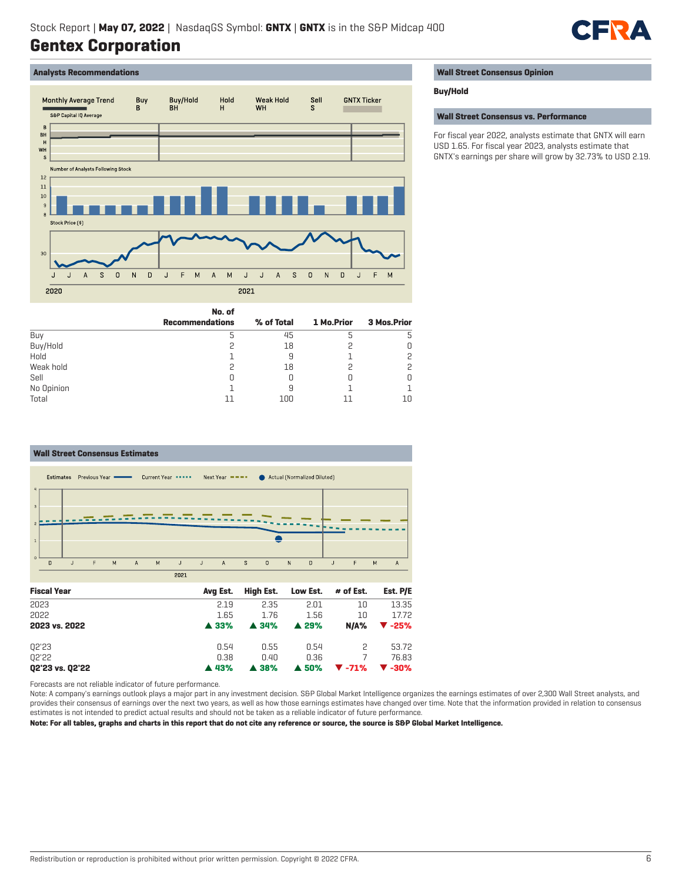# M HR

# **Analysts Recommendations**



# **Wall Street Consensus Opinion**

# **Buy/Hold**

# **Wall Street Consensus vs. Performance**

For fiscal year 2022, analysts estimate that GNTX will earn USD 1.65. For fiscal year 2023, analysts estimate that GNTX's earnings per share will grow by 32.73% to USD 2.19.

|            | No. of                 |            |            |             |
|------------|------------------------|------------|------------|-------------|
|            | <b>Recommendations</b> | % of Total | 1 Mo.Prior | 3 Mos.Prior |
| Buy        |                        | 45         |            | 5           |
| Buy/Hold   |                        | 18         |            | Ο           |
| Hold       |                        | 9          |            | 2           |
| Weak hold  |                        | 18         |            | 2           |
| Sell       | U                      |            |            | 0           |
| No Opinion |                        | 9          |            |             |
| Total      |                        | 100        | 11         | 10          |

# **Wall Street Consensus Estimates**



Forecasts are not reliable indicator of future performance.

Note: A company's earnings outlook plays a major part in any investment decision. S&P Global Market Intelligence organizes the earnings estimates of over 2,300 Wall Street analysts, and provides their consensus of earnings over the next two years, as well as how those earnings estimates have changed over time. Note that the information provided in relation to consensus estimates is not intended to predict actual results and should not be taken as a reliable indicator of future performance.

**Note: For all tables, graphs and charts in this report that do not cite any reference or source, the source is S&P Global Market Intelligence.**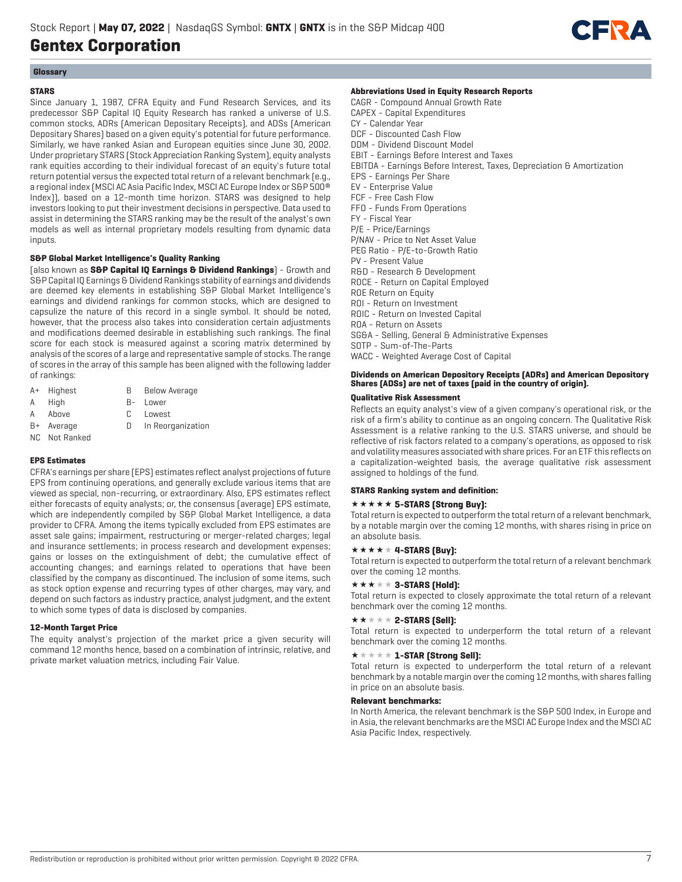

# **Glossary**

# **STARS**

Since January 1, 1987, CFRA Equity and Fund Research Services, and its predecessor S&P Capital IQ Equity Research has ranked a universe of U.S. common stocks, ADRs (American Depositary Receipts), and ADSs (American Depositary Shares) based on a given equity's potential for future performance. Similarly, we have ranked Asian and European equities since June 30, 2002. Under proprietary STARS (Stock Appreciation Ranking System), equity analysts rank equities according to their individual forecast of an equity's future total return potential versus the expected total return of a relevant benchmark (e.g., a regional index (MSCI AC Asia Pacific Index, MSCI AC Europe Index or S&P 500® Index)), based on a 12-month time horizon. STARS was designed to help investors looking to put their investment decisions in perspective. Data used to assist in determining the STARS ranking may be the result of the analyst's own models as well as internal proprietary models resulting from dynamic data inputs.

# **S&P Global Market Intelligence's Quality Ranking**

(also known as **S&P Capital IQ Earnings & Dividend Rankings**) - Growth and S&P Capital IQ Earnings & Dividend Rankings stability of earnings and dividends are deemed key elements in establishing S&P Global Market Intelligence's earnings and dividend rankings for common stocks, which are designed to capsulize the nature of this record in a single symbol. It should be noted, however, that the process also takes into consideration certain adjustments and modifications deemed desirable in establishing such rankings. The final score for each stock is measured against a scoring matrix determined by analysis of the scores of a large and representative sample of stocks. The range of scores in the array of this sample has been aligned with the following ladder of rankings:

- A+ Highest B Below Average
- A High B- Lower
- A Above C Lowest
- 
- B+ Average D In Reorganization
- NC Not Ranked

# **EPS Estimates**

CFRA's earnings per share (EPS) estimates reflect analyst projections of future EPS from continuing operations, and generally exclude various items that are viewed as special, non-recurring, or extraordinary. Also, EPS estimates reflect either forecasts of equity analysts; or, the consensus (average) EPS estimate, which are independently compiled by S&P Global Market Intelligence, a data provider to CFRA. Among the items typically excluded from EPS estimates are asset sale gains; impairment, restructuring or merger-related charges; legal and insurance settlements; in process research and development expenses; gains or losses on the extinguishment of debt; the cumulative effect of accounting changes; and earnings related to operations that have been classified by the company as discontinued. The inclusion of some items, such as stock option expense and recurring types of other charges, may vary, and depend on such factors as industry practice, analyst judgment, and the extent to which some types of data is disclosed by companies.

# **12-Month Target Price**

The equity analyst's projection of the market price a given security will command 12 months hence, based on a combination of intrinsic, relative, and private market valuation metrics, including Fair Value.

# **Abbreviations Used in Equity Research Reports**

CAGR - Compound Annual Growth Rate CAPEX - Capital Expenditures CY - Calendar Year DCF - Discounted Cash Flow DDM - Dividend Discount Model EBIT - Earnings Before Interest and Taxes EBITDA - Earnings Before Interest, Taxes, Depreciation & Amortization EPS - Earnings Per Share EV - Enterprise Value FCF - Free Cash Flow FFO - Funds From Operations FY - Fiscal Year P/E - Price/Earnings P/NAV - Price to Net Asset Value PEG Ratio - P/E-to-Growth Ratio PV - Present Value R&D - Research & Development ROCE - Return on Capital Employed ROE Return on Equity ROI - Return on Investment ROIC - Return on Invested Capital ROA - Return on Assets SG&A - Selling, General & Administrative Expenses SOTP - Sum-of-The-Parts WACC - Weighted Average Cost of Capital

# **Dividends on American Depository Receipts (ADRs) and American Depository Shares (ADSs) are net of taxes (paid in the country of origin).**

# **Qualitative Risk Assessment**

Reflects an equity analyst's view of a given company's operational risk, or the risk of a firm's ability to continue as an ongoing concern. The Qualitative Risk Assessment is a relative ranking to the U.S. STARS universe, and should be reflective of risk factors related to a company's operations, as opposed to risk and volatility measures associated with share prices. For an ETF this reflects on a capitalization-weighted basis, the average qualitative risk assessment assigned to holdings of the fund.

# **STARS Ranking system and definition:**

# **\*\*\*\*\* 5-STARS (Strong Buy):**

Total return is expected to outperform the total return of a relevant benchmark, by a notable margin over the coming 12 months, with shares rising in price on an absolute basis.

# $\star \star \star \star \star 4$ -STARS [Buy]:

Total return is expected to outperform the total return of a relevant benchmark over the coming 12 months.

# $\star \star \star \star \star 3$ -STARS (Hold):

Total return is expected to closely approximate the total return of a relevant benchmark over the coming 12 months.

# $\star\star\star\star\star$  2-STARS [Sell]:

Total return is expected to underperform the total return of a relevant benchmark over the coming 12 months.

# $\star \star \star \star \star \mathbf{1}$ -STAR (Strong Sell):

Total return is expected to underperform the total return of a relevant benchmark by a notable margin over the coming 12 months, with shares falling in price on an absolute basis.

# **Relevant benchmarks:**

In North America, the relevant benchmark is the S&P 500 Index, in Europe and in Asia, the relevant benchmarks are the MSCI AC Europe Index and the MSCI AC Asia Pacific Index, respectively.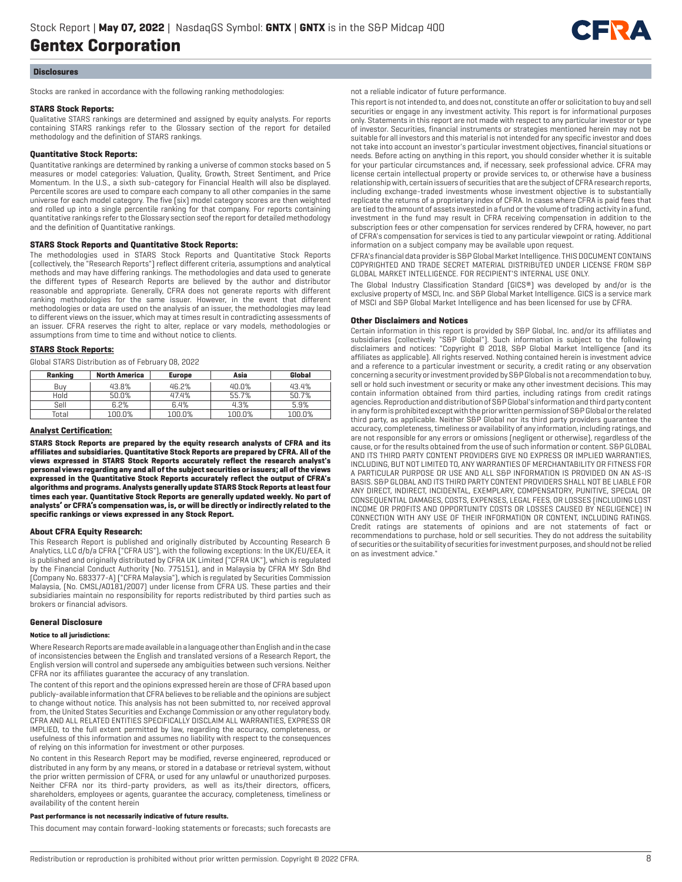

#### **Disclosures**

Stocks are ranked in accordance with the following ranking methodologies:

#### **STARS Stock Reports:**

Qualitative STARS rankings are determined and assigned by equity analysts. For reports containing STARS rankings refer to the Glossary section of the report for detailed methodology and the definition of STARS rankings.

# **Quantitative Stock Reports:**

Quantitative rankings are determined by ranking a universe of common stocks based on 5 measures or model categories: Valuation, Quality, Growth, Street Sentiment, and Price Momentum. In the U.S., a sixth sub-category for Financial Health will also be displayed. Percentile scores are used to compare each company to all other companies in the same universe for each model category. The five (six) model category scores are then weighted and rolled up into a single percentile ranking for that company. For reports containing quantitative rankings refer to the Glossary section seof the report for detailed methodology and the definition of Quantitative rankings.

#### **STARS Stock Reports and Quantitative Stock Reports:**

The methodologies used in STARS Stock Reports and Quantitative Stock Reports (collectively, the "Research Reports") reflect different criteria, assumptions and analytical methods and may have differing rankings. The methodologies and data used to generate the different types of Research Reports are believed by the author and distributor reasonable and appropriate. Generally, CFRA does not generate reports with different ranking methodologies for the same issuer. However, in the event that different methodologies or data are used on the analysis of an issuer, the methodologies may lead to different views on the issuer, which may at times result in contradicting assessments of an issuer. CFRA reserves the right to alter, replace or vary models, methodologies or assumptions from time to time and without notice to clients.

# **STARS Stock Reports:**

Global STARS Distribution as of February 08, 2022

| Ranking | <b>North America</b> | <b>Europe</b> | Asia   | Global |
|---------|----------------------|---------------|--------|--------|
| Buv     | 43.8%                | 46.2%         | 40.0%  | 43.4%  |
| Hold    | 50.0%                | 47.4%         | 55.7%  | 50.7%  |
| Sell    | 6.2%                 | 6.4%          | 4.3%   | 5.9%   |
| Total   | 100.0%               | 100.0%        | 100.0% | 100.0% |

#### **Analyst Certification:**

**STARS Stock Reports are prepared by the equity research analysts of CFRA and its affiliates and subsidiaries. Quantitative Stock Reports are prepared by CFRA. All of the views expressed in STARS Stock Reports accurately reflect the research analyst's personal views regarding any and all of the subject securities or issuers; all of the views expressed in the Quantitative Stock Reports accurately reflect the output of CFRA's algorithms and programs. Analysts generally update STARS Stock Reports at least four times each year. Quantitative Stock Reports are generally updated weekly. No part of analysts' or CFRA's compensation was, is, or will be directly or indirectly related to the specific rankings or views expressed in any Stock Report.**

# **About CFRA Equity Research:**

This Research Report is published and originally distributed by Accounting Research & Analytics, LLC d/b/a CFRA ("CFRA US"), with the following exceptions: In the UK/EU/EEA, it is published and originally distributed by CFRA UK Limited ("CFRA UK"), which is regulated by the Financial Conduct Authority (No. 775151), and in Malaysia by CFRA MY Sdn Bhd (Company No. 683377-A) ("CFRA Malaysia"), which is regulated by Securities Commission Malaysia, (No. CMSL/A0181/2007) under license from CFRA US. These parties and their subsidiaries maintain no responsibility for reports redistributed by third parties such as brokers or financial advisors.

#### **General Disclosure**

#### **Notice to all jurisdictions:**

Where Research Reports are made available in a language other than English and in the case of inconsistencies between the English and translated versions of a Research Report, the English version will control and supersede any ambiguities between such versions. Neither CFRA nor its affiliates guarantee the accuracy of any translation.

The content of this report and the opinions expressed herein are those of CFRA based upon publicly-available information that CFRA believes to be reliable and the opinions are subject to change without notice. This analysis has not been submitted to, nor received approval from, the United States Securities and Exchange Commission or any other regulatory body. CFRA AND ALL RELATED ENTITIES SPECIFICALLY DISCLAIM ALL WARRANTIES, EXPRESS OR IMPLIED, to the full extent permitted by law, regarding the accuracy, completeness, or usefulness of this information and assumes no liability with respect to the consequences of relying on this information for investment or other purposes.

No content in this Research Report may be modified, reverse engineered, reproduced or distributed in any form by any means, or stored in a database or retrieval system, without the prior written permission of CFRA, or used for any unlawful or unauthorized purposes. Neither CFRA nor its third-party providers, as well as its/their directors, officers, shareholders, employees or agents, guarantee the accuracy, completeness, timeliness or availability of the content herein

#### **Past performance is not necessarily indicative of future results.**

This document may contain forward-looking statements or forecasts; such forecasts are

not a reliable indicator of future performance.

This report is not intended to, and does not, constitute an offer or solicitation to buy and sell securities or engage in any investment activity. This report is for informational purposes only. Statements in this report are not made with respect to any particular investor or type of investor. Securities, financial instruments or strategies mentioned herein may not be suitable for all investors and this material is not intended for any specific investor and does not take into account an investor's particular investment objectives, financial situations or needs. Before acting on anything in this report, you should consider whether it is suitable for your particular circumstances and, if necessary, seek professional advice. CFRA may license certain intellectual property or provide services to, or otherwise have a business relationship with, certain issuers of securities that are the subject of CFRA research reports, including exchange-traded investments whose investment objective is to substantially replicate the returns of a proprietary index of CFRA. In cases where CFRA is paid fees that are tied to the amount of assets invested in a fund or the volume of trading activity in a fund, investment in the fund may result in CFRA receiving compensation in addition to the subscription fees or other compensation for services rendered by CFRA, however, no part of CFRA's compensation for services is tied to any particular viewpoint or rating. Additional information on a subject company may be available upon request.

CFRA's financial data provider is S&P Global Market Intelligence. THIS DOCUMENT CONTAINS COPYRIGHTED AND TRADE SECRET MATERIAL DISTRIBUTED UNDER LICENSE FROM S&P GLOBAL MARKET INTELLIGENCE. FOR RECIPIENT'S INTERNAL USE ONLY.

The Global Industry Classification Standard (GICS®) was developed by and/or is the exclusive property of MSCI, Inc. and S&P Global Market Intelligence. GICS is a service mark of MSCI and S&P Global Market Intelligence and has been licensed for use by CFRA.

#### **Other Disclaimers and Notices**

Certain information in this report is provided by S&P Global, Inc. and/or its affiliates and subsidiaries (collectively "S&P Global"). Such information is subject to the following disclaimers and notices: "Copyright © 2018, S&P Global Market Intelligence (and its affiliates as applicable). All rights reserved. Nothing contained herein is investment advice and a reference to a particular investment or security, a credit rating or any observation concerning a security or investment provided by S&P Global is not a recommendation to buy, sell or hold such investment or security or make any other investment decisions. This may contain information obtained from third parties, including ratings from credit ratings agencies. Reproduction and distribution of S&P Global's information and third party content in any form is prohibited except with the prior written permission of S&P Global or the related third party, as applicable. Neither S&P Global nor its third party providers guarantee the accuracy, completeness, timeliness or availability of any information, including ratings, and are not responsible for any errors or omissions (negligent or otherwise), regardless of the cause, or for the results obtained from the use of such information or content. S&P GLOBAL AND ITS THIRD PARTY CONTENT PROVIDERS GIVE NO EXPRESS OR IMPLIED WARRANTIES, INCLUDING, BUT NOT LIMITED TO, ANY WARRANTIES OF MERCHANTABILITY OR FITNESS FOR A PARTICULAR PURPOSE OR USE AND ALL S&P INFORMATION IS PROVIDED ON AN AS-IS BASIS. S&P GLOBAL AND ITS THIRD PARTY CONTENT PROVIDERS SHALL NOT BE LIABLE FOR ANY DIRECT, INDIRECT, INCIDENTAL, EXEMPLARY, COMPENSATORY, PUNITIVE, SPECIAL OR CONSEQUENTIAL DAMAGES, COSTS, EXPENSES, LEGAL FEES, OR LOSSES (INCLUDING LOST INCOME OR PROFITS AND OPPORTUNITY COSTS OR LOSSES CAUSED BY NEGLIGENCE) IN CONNECTION WITH ANY USE OF THEIR INFORMATION OR CONTENT, INCLUDING RATINGS. Credit ratings are statements of opinions and are not statements of fact or recommendations to purchase, hold or sell securities. They do not address the suitability of securities or the suitability of securities for investment purposes, and should not be relied on as investment advice."